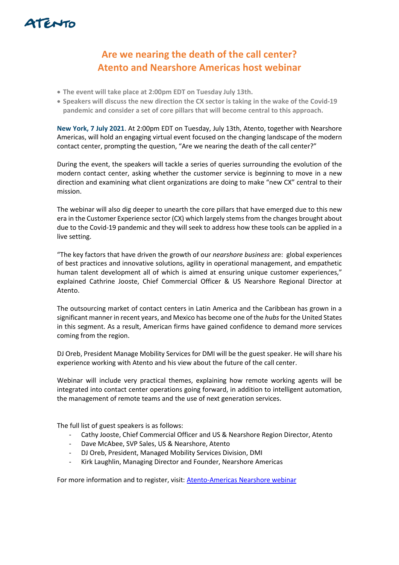

## **Are we nearing the death of the call center? Atento and Nearshore Americas host webinar**

- **The event will take place at 2:00pm EDT on Tuesday July 13th.**
- **Speakers will discuss the new direction the CX sector is taking in the wake of the Covid-19 pandemic and consider a set of core pillars that will become central to this approach.**

**New York, 7 July 2021**. At 2:00pm EDT on Tuesday, July 13th, Atento, together with Nearshore Americas, will hold an engaging virtual event focused on the changing landscape of the modern contact center, prompting the question, "Are we nearing the death of the call center?"

During the event, the speakers will tackle a series of queries surrounding the evolution of the modern contact center, asking whether the customer service is beginning to move in a new direction and examining what client organizations are doing to make "new CX" central to their mission.

The webinar will also dig deeper to unearth the core pillars that have emerged due to this new era in the Customer Experience sector (CX) which largely stems from the changes brought about due to the Covid-19 pandemic and they will seek to address how these tools can be applied in a live setting.

"The key factors that have driven the growth of our *nearshore business* are: global experiences of best practices and innovative solutions, agility in operational management, and empathetic human talent development all of which is aimed at ensuring unique customer experiences," explained Cathrine Jooste, Chief Commercial Officer & US Nearshore Regional Director at Atento.

The outsourcing market of contact centers in Latin America and the Caribbean has grown in a significant manner in recent years, and Mexico has become one of the *hubs*for the United States in this segment. As a result, American firms have gained confidence to demand more services coming from the region.

DJ Oreb, President Manage Mobility Services for DMI will be the guest speaker. He will share his experience working with Atento and his view about the future of the call center.

Webinar will include very practical themes, explaining how remote working agents will be integrated into contact center operations going forward, in addition to intelligent automation, the management of remote teams and the use of next generation services.

The full list of guest speakers is as follows:

- Cathy Jooste, Chief Commercial Officer and US & Nearshore Region Director, Atento
- Dave McAbee, SVP Sales, US & Nearshore, Atento
- DJ Oreb, President, Managed Mobility Services Division, DMI
- Kirk Laughlin, Managing Director and Founder, Nearshore Americas

For more information and to register, visit: [Atento-Americas Nearshore webinar](https://www.nearshoreamericas.com/webinars/are-we-nearing-the-death-of-the-call-center/#webinar)